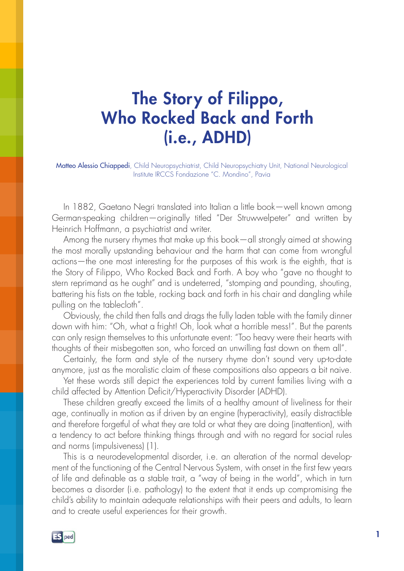## The Story of Filippo, Who Rocked Back and Forth (i.e., ADHD)

Matteo Alessio Chiappedi, Child Neuropsychiatrist, Child Neuropsychiatry Unit, National Neurological Institute IRCCS Fondazione "C. Mondino", Pavia

In 1882, Gaetano Negri translated into Italian a little book—well known among German-speaking children—originally titled "Der Struwwelpeter" and written by Heinrich Hoffmann, a psychiatrist and writer.

Among the nursery rhymes that make up this book—all strongly aimed at showing the most morally upstanding behaviour and the harm that can come from wrongful actions—the one most interesting for the purposes of this work is the eighth, that is the Story of Filippo, Who Rocked Back and Forth. A boy who "gave no thought to stern reprimand as he ought" and is undeterred, "stomping and pounding, shouting, battering his fists on the table, rocking back and forth in his chair and dangling while pulling on the tablecloth".

Obviously, the child then falls and drags the fully laden table with the family dinner down with him: "Oh, what a fright! Oh, look what a horrible mess!". But the parents can only resign themselves to this unfortunate event: "Too heavy were their hearts with thoughts of their misbegotten son, who forced an unwilling fast down on them all".

Certainly, the form and style of the nursery rhyme don't sound very up-to-date anymore, just as the moralistic claim of these compositions also appears a bit naive.

Yet these words still depict the experiences told by current families living with a child affected by Attention Deficit/Hyperactivity Disorder (ADHD).

These children greatly exceed the limits of a healthy amount of liveliness for their age, continually in motion as if driven by an engine (hyperactivity), easily distractible and therefore forgetful of what they are told or what they are doing (inattention), with a tendency to act before thinking things through and with no regard for social rules and norms (impulsiveness) (1).

This is a neurodevelopmental disorder, i.e. an alteration of the normal development of the functioning of the Central Nervous System, with onset in the first few years of life and definable as a stable trait, a "way of being in the world", which in turn becomes a disorder (i.e. pathology) to the extent that it ends up compromising the child's ability to maintain adequate relationships with their peers and adults, to learn and to create useful experiences for their growth.

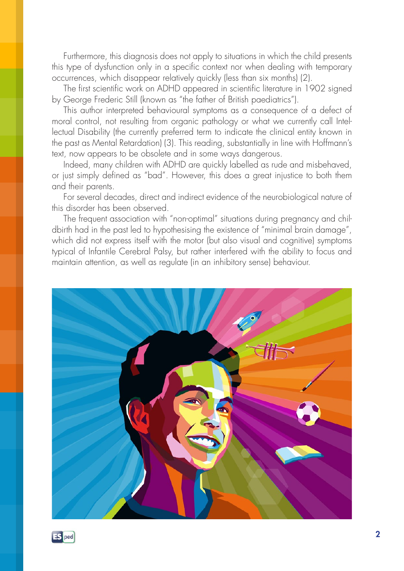Furthermore, this diagnosis does not apply to situations in which the child presents this type of dysfunction only in a specific context nor when dealing with temporary occurrences, which disappear relatively quickly (less than six months) (2).

The first scientific work on ADHD appeared in scientific literature in 1902 signed by George Frederic Still (known as "the father of British paediatrics").

This author interpreted behavioural symptoms as a consequence of a defect of moral control, not resulting from organic pathology or what we currently call Intellectual Disability (the currently preferred term to indicate the clinical entity known in the past as Mental Retardation) (3). This reading, substantially in line with Hoffmann's text, now appears to be obsolete and in some ways dangerous.

Indeed, many children with ADHD are quickly labelled as rude and misbehaved, or just simply defined as "bad". However, this does a great injustice to both them and their parents.

For several decades, direct and indirect evidence of the neurobiological nature of this disorder has been observed.

The frequent association with "non-optimal" situations during pregnancy and childbirth had in the past led to hypothesising the existence of "minimal brain damage", which did not express itself with the motor (but also visual and cognitive) symptoms typical of Infantile Cerebral Palsy, but rather interfered with the ability to focus and maintain attention, as well as regulate (in an inhibitory sense) behaviour.



**ES** ped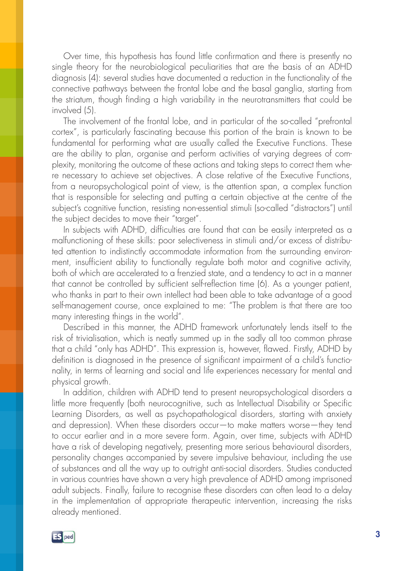Over time, this hypothesis has found little confirmation and there is presently no single theory for the neurobiological peculiarities that are the basis of an ADHD diagnosis (4): several studies have documented a reduction in the functionality of the connective pathways between the frontal lobe and the basal ganglia, starting from the striatum, though finding a high variability in the neurotransmitters that could be involved (5).

The involvement of the frontal lobe, and in particular of the so-called "prefrontal cortex", is particularly fascinating because this portion of the brain is known to be fundamental for performing what are usually called the Executive Functions. These are the ability to plan, organise and perform activities of varying degrees of complexity, monitoring the outcome of these actions and taking steps to correct them where necessary to achieve set objectives. A close relative of the Executive Functions, from a neuropsychological point of view, is the attention span, a complex function that is responsible for selecting and putting a certain objective at the centre of the subject's cognitive function, resisting non-essential stimuli (so-called "distractors") until the subject decides to move their "target".

In subjects with ADHD, difficulties are found that can be easily interpreted as a malfunctioning of these skills: poor selectiveness in stimuli and/or excess of distributed attention to indistinctly accommodate information from the surrounding environment, insufficient ability to functionally regulate both motor and cognitive activity, both of which are accelerated to a frenzied state, and a tendency to act in a manner that cannot be controlled by sufficient self-reflection time (6). As a younger patient, who thanks in part to their own intellect had been able to take advantage of a good self-management course, once explained to me: "The problem is that there are too many interesting things in the world".

Described in this manner, the ADHD framework unfortunately lends itself to the risk of trivialisation, which is neatly summed up in the sadly all too common phrase that a child "only has ADHD". This expression is, however, flawed. Firstly, ADHD by definition is diagnosed in the presence of significant impairment of a child's functionality, in terms of learning and social and life experiences necessary for mental and physical growth.

In addition, children with ADHD tend to present neuropsychological disorders a little more frequently (both neurocognitive, such as Intellectual Disability or Specific Learning Disorders, as well as psychopathological disorders, starting with anxiety and depression). When these disorders occur—to make matters worse—they tend to occur earlier and in a more severe form. Again, over time, subjects with ADHD have a risk of developing negatively, presenting more serious behavioural disorders, personality changes accompanied by severe impulsive behaviour, including the use of substances and all the way up to outright anti-social disorders. Studies conducted in various countries have shown a very high prevalence of ADHD among imprisoned adult subjects. Finally, failure to recognise these disorders can often lead to a delay in the implementation of appropriate therapeutic intervention, increasing the risks already mentioned.

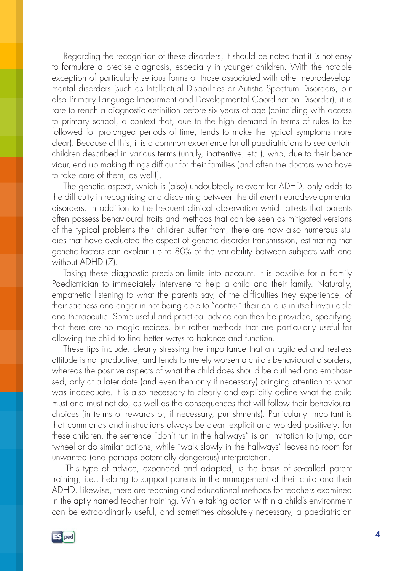Regarding the recognition of these disorders, it should be noted that it is not easy to formulate a precise diagnosis, especially in younger children. With the notable exception of particularly serious forms or those associated with other neurodevelopmental disorders (such as Intellectual Disabilities or Autistic Spectrum Disorders, but also Primary Language Impairment and Developmental Coordination Disorder), it is rare to reach a diagnostic definition before six years of age (coinciding with access to primary school, a context that, due to the high demand in terms of rules to be followed for prolonged periods of time, tends to make the typical symptoms more clear). Because of this, it is a common experience for all paediatricians to see certain children described in various terms (unruly, inattentive, etc.), who, due to their behaviour, end up making things difficult for their families (and often the doctors who have to take care of them, as well!).

The genetic aspect, which is (also) undoubtedly relevant for ADHD, only adds to the difficulty in recognising and discerning between the different neurodevelopmental disorders. In addition to the frequent clinical observation which attests that parents often possess behavioural traits and methods that can be seen as mitigated versions of the typical problems their children suffer from, there are now also numerous studies that have evaluated the aspect of genetic disorder transmission, estimating that genetic factors can explain up to 80% of the variability between subjects with and without ADHD (7).

Taking these diagnostic precision limits into account, it is possible for a Family Paediatrician to immediately intervene to help a child and their family. Naturally, empathetic listening to what the parents say, of the difficulties they experience, of their sadness and anger in not being able to "control" their child is in itself invaluable and therapeutic. Some useful and practical advice can then be provided, specifying that there are no magic recipes, but rather methods that are particularly useful for allowing the child to find better ways to balance and function.

These tips include: clearly stressing the importance that an agitated and restless attitude is not productive, and tends to merely worsen a child's behavioural disorders, whereas the positive aspects of what the child does should be outlined and emphasised, only at a later date (and even then only if necessary) bringing attention to what was inadequate. It is also necessary to clearly and explicitly define what the child must and must not do, as well as the consequences that will follow their behavioural choices (in terms of rewards or, if necessary, punishments). Particularly important is that commands and instructions always be clear, explicit and worded positively: for these children, the sentence "don't run in the hallways" is an invitation to jump, cartwheel or do similar actions, while "walk slowly in the hallways" leaves no room for unwanted (and perhaps potentially dangerous) interpretation.

This type of advice, expanded and adapted, is the basis of so-called parent training, i.e., helping to support parents in the management of their child and their ADHD. Likewise, there are teaching and educational methods for teachers examined in the aptly named teacher training. While taking action within a child's environment can be extraordinarily useful, and sometimes absolutely necessary, a paediatrician

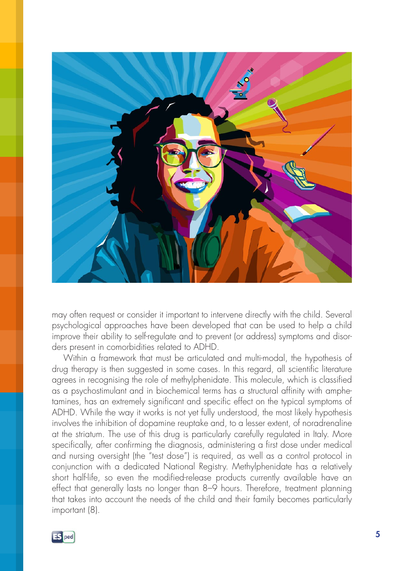

may often request or consider it important to intervene directly with the child. Several psychological approaches have been developed that can be used to help a child improve their ability to self-regulate and to prevent (or address) symptoms and disorders present in comorbidities related to ADHD.

Within a framework that must be articulated and multi-modal, the hypothesis of drug therapy is then suggested in some cases. In this regard, all scientific literature agrees in recognising the role of methylphenidate. This molecule, which is classified as a psychostimulant and in biochemical terms has a structural affinity with amphetamines, has an extremely significant and specific effect on the typical symptoms of ADHD. While the way it works is not yet fully understood, the most likely hypothesis involves the inhibition of dopamine reuptake and, to a lesser extent, of noradrenaline at the striatum. The use of this drug is particularly carefully regulated in Italy. More specifically, after confirming the diagnosis, administering a first dose under medical and nursing oversight (the "test dose") is required, as well as a control protocol in conjunction with a dedicated National Registry. Methylphenidate has a relatively short half-life, so even the modified-release products currently available have an effect that generally lasts no longer than 8–9 hours. Therefore, treatment planning that takes into account the needs of the child and their family becomes particularly important (8).

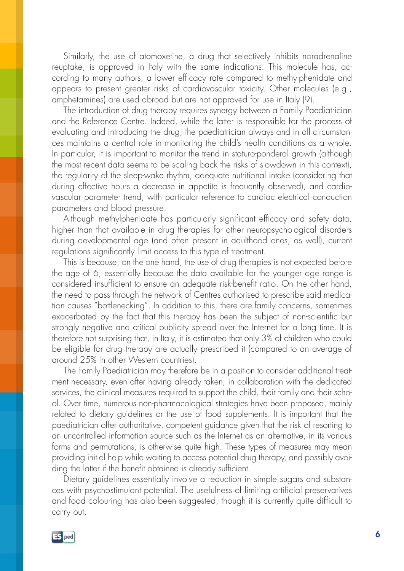Similarly, the use of atomoxetine, a drug that selectively inhibits noradrenaline reuptake, is approved in Italy with the same indications. This molecule has, according to many authors, a lower efficacy rate compared to methylphenidate and appears to present greater risks of cardiovascular toxicity. Other molecules (e.g., amphetamines) are used abroad but are not approved for use in Italy (9).

The introduction of drug therapy requires synergy between a Family Paediatrician and the Reference Centre. Indeed, while the latter is responsible for the process of evaluating and introducing the drug, the paediatrician always and in all circumstances maintains a central role in monitoring the child's health conditions as a whole. In particular, it is important to monitor the trend in staturo-ponderal growth (although the most recent data seems to be scaling back the risks of slowdown in this context), the regularity of the sleep-wake rhythm, adequate nutritional intake (considering that during effective hours a decrease in appetite is frequently observed), and cardiovascular parameter trend, with particular reference to cardiac electrical conduction parameters and blood pressure.

Although methylphenidate has particularly significant efficacy and safety data, higher than that available in drug therapies for other neuropsychological disorders during developmental age (and often present in adulthood ones, as well), current regulations significantly limit access to this type of treatment.

This is because, on the one hand, the use of drug therapies is not expected before the age of 6, essentially because the data available for the younger age range is considered insufficient to ensure an adequate risk-benefit ratio. On the other hand, the need to pass through the network of Centres authorised to prescribe said medication causes "bottlenecking". In addition to this, there are family concerns, sometimes exacerbated by the fact that this therapy has been the subject of non-scientific but strongly negative and critical publicity spread over the Internet for a long time. It is therefore not surprising that, in Italy, it is estimated that only 3% of children who could be eligible for drug therapy are actually prescribed it (compared to an average of around 25% in other Western countries).

The Family Paediatrician may therefore be in a position to consider additional treatment necessary, even after having already taken, in collaboration with the dedicated services, the clinical measures required to support the child, their family and their school. Over time, numerous non-pharmacological strategies have been proposed, mainly related to dietary guidelines or the use of food supplements. It is important that the paediatrician offer authoritative, competent guidance given that the risk of resorting to an uncontrolled information source such as the Internet as an alternative, in its various forms and permutations, is otherwise quite high. These types of measures may mean providing initial help while waiting to access potential drug therapy, and possibly avoiding the latter if the benefit obtained is already sufficient.

Dietary guidelines essentially involve a reduction in simple sugars and substances with psychostimulant potential. The usefulness of limiting artificial preservatives and food colouring has also been suggested, though it is currently quite difficult to carry out.

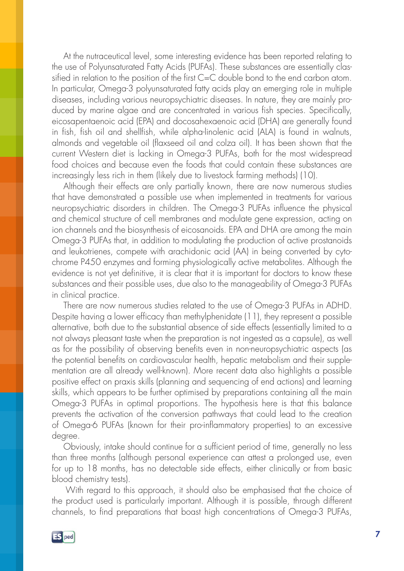At the nutraceutical level, some interesting evidence has been reported relating to the use of Polyunsaturated Fatty Acids (PUFAs). These substances are essentially classified in relation to the position of the first C=C double bond to the end carbon atom. In particular, Omega-3 polyunsaturated fatty acids play an emerging role in multiple diseases, including various neuropsychiatric diseases. In nature, they are mainly produced by marine algae and are concentrated in various fish species. Specifically, eicosapentaenoic acid (EPA) and docosahexaenoic acid (DHA) are generally found in fish, fish oil and shellfish, while alpha-linolenic acid (ALA) is found in walnuts, almonds and vegetable oil (flaxseed oil and colza oil). It has been shown that the current Western diet is lacking in Omega-3 PUFAs, both for the most widespread food choices and because even the foods that could contain these substances are increasingly less rich in them (likely due to livestock farming methods) (10).

Although their effects are only partially known, there are now numerous studies that have demonstrated a possible use when implemented in treatments for various neuropsychiatric disorders in children. The Omega-3 PUFAs influence the physical and chemical structure of cell membranes and modulate gene expression, acting on ion channels and the biosynthesis of eicosanoids. EPA and DHA are among the main Omega-3 PUFAs that, in addition to modulating the production of active prostanoids and leukotrienes, compete with arachidonic acid (AA) in being converted by cytochrome P450 enzymes and forming physiologically active metabolites. Although the evidence is not yet definitive, it is clear that it is important for doctors to know these substances and their possible uses, due also to the manageability of Omega-3 PUFAs in clinical practice.

There are now numerous studies related to the use of Omega-3 PUFAs in ADHD. Despite having a lower efficacy than methylphenidate (11), they represent a possible alternative, both due to the substantial absence of side effects (essentially limited to a not always pleasant taste when the preparation is not ingested as a capsule), as well as for the possibility of observing benefits even in non-neuropsychiatric aspects (as the potential benefits on cardiovascular health, hepatic metabolism and their supplementation are all already well-known). More recent data also highlights a possible positive effect on praxis skills (planning and sequencing of end actions) and learning skills, which appears to be further optimised by preparations containing all the main Omega-3 PUFAs in optimal proportions. The hypothesis here is that this balance prevents the activation of the conversion pathways that could lead to the creation of Omega-6 PUFAs (known for their pro-inflammatory properties) to an excessive degree.

Obviously, intake should continue for a sufficient period of time, generally no less than three months (although personal experience can attest a prolonged use, even for up to 18 months, has no detectable side effects, either clinically or from basic blood chemistry tests).

With regard to this approach, it should also be emphasised that the choice of the product used is particularly important. Although it is possible, through different channels, to find preparations that boast high concentrations of Omega-3 PUFAs,